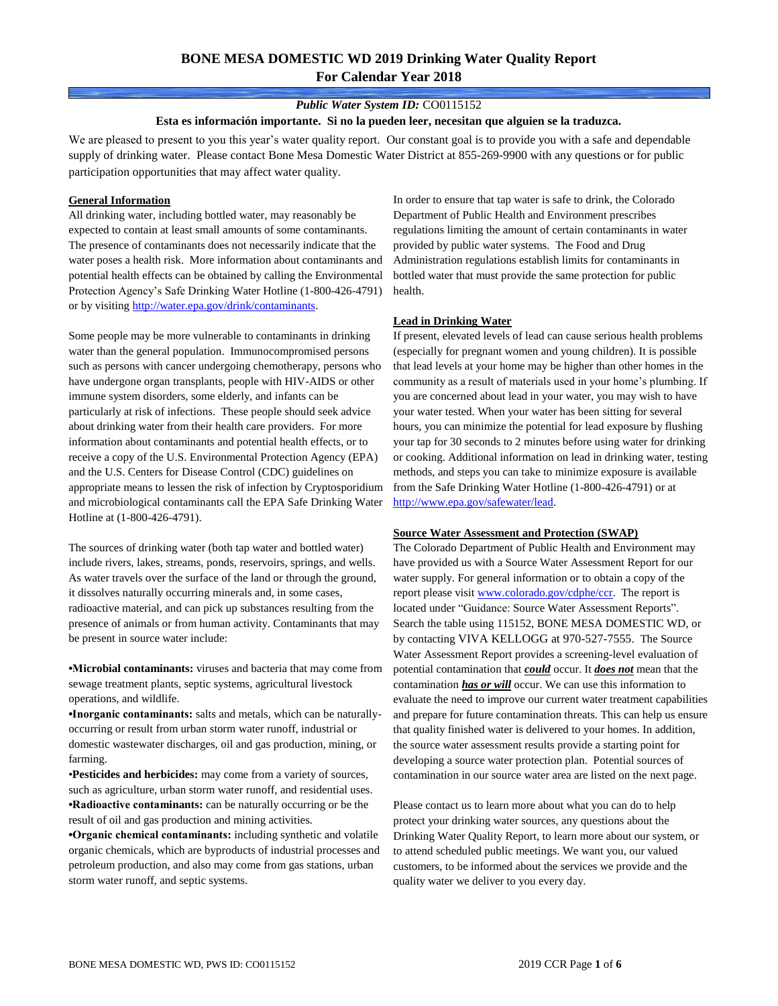### *Public Water System ID:* CO0115152

#### **Esta es información importante. Si no la pueden leer, necesitan que alguien se la traduzca.**

We are pleased to present to you this year's water quality report. Our constant goal is to provide you with a safe and dependable supply of drinking water. Please contact Bone Mesa Domestic Water District at 855-269-9900 with any questions or for public participation opportunities that may affect water quality.

#### **General Information**

All drinking water, including bottled water, may reasonably be expected to contain at least small amounts of some contaminants. The presence of contaminants does not necessarily indicate that the water poses a health risk. More information about contaminants and potential health effects can be obtained by calling the Environmental Protection Agency's Safe Drinking Water Hotline (1-800-426-4791) or by visiting [http://water.epa.gov/drink/contaminants.](http://water.epa.gov/drink/contaminants)

Some people may be more vulnerable to contaminants in drinking water than the general population. Immunocompromised persons such as persons with cancer undergoing chemotherapy, persons who have undergone organ transplants, people with HIV-AIDS or other immune system disorders, some elderly, and infants can be particularly at risk of infections. These people should seek advice about drinking water from their health care providers. For more information about contaminants and potential health effects, or to receive a copy of the U.S. Environmental Protection Agency (EPA) and the U.S. Centers for Disease Control (CDC) guidelines on appropriate means to lessen the risk of infection by Cryptosporidium and microbiological contaminants call the EPA Safe Drinking Water Hotline at (1-800-426-4791).

The sources of drinking water (both tap water and bottled water) include rivers, lakes, streams, ponds, reservoirs, springs, and wells. As water travels over the surface of the land or through the ground, it dissolves naturally occurring minerals and, in some cases, radioactive material, and can pick up substances resulting from the presence of animals or from human activity. Contaminants that may be present in source water include:

**•Microbial contaminants:** viruses and bacteria that may come from sewage treatment plants, septic systems, agricultural livestock operations, and wildlife.

**•Inorganic contaminants:** salts and metals, which can be naturallyoccurring or result from urban storm water runoff, industrial or domestic wastewater discharges, oil and gas production, mining, or farming.

•**Pesticides and herbicides:** may come from a variety of sources, such as agriculture, urban storm water runoff, and residential uses. **•Radioactive contaminants:** can be naturally occurring or be the result of oil and gas production and mining activities.

**•Organic chemical contaminants:** including synthetic and volatile organic chemicals, which are byproducts of industrial processes and petroleum production, and also may come from gas stations, urban storm water runoff, and septic systems.

In order to ensure that tap water is safe to drink, the Colorado Department of Public Health and Environment prescribes regulations limiting the amount of certain contaminants in water provided by public water systems. The Food and Drug Administration regulations establish limits for contaminants in bottled water that must provide the same protection for public health.

#### **Lead in Drinking Water**

If present, elevated levels of lead can cause serious health problems (especially for pregnant women and young children). It is possible that lead levels at your home may be higher than other homes in the community as a result of materials used in your home's plumbing. If you are concerned about lead in your water, you may wish to have your water tested. When your water has been sitting for several hours, you can minimize the potential for lead exposure by flushing your tap for 30 seconds to 2 minutes before using water for drinking or cooking. Additional information on lead in drinking water, testing methods, and steps you can take to minimize exposure is available from the Safe Drinking Water Hotline (1-800-426-4791) or at [http://www.epa.gov/safewater/lead.](http://www.epa.gov/safewater/lead) 

#### **Source Water Assessment and Protection (SWAP)**

The Colorado Department of Public Health and Environment may have provided us with a Source Water Assessment Report for our water supply. For general information or to obtain a copy of the report please visit [www.colorado.gov/cdphe/ccr.](https://www.colorado.gov/cdphe/ccr) The report is located under "Guidance: Source Water Assessment Reports". Search the table using 115152, BONE MESA DOMESTIC WD, or by contacting VIVA KELLOGG at 970-527-7555. The Source Water Assessment Report provides a screening-level evaluation of potential contamination that *could* occur. It *does not* mean that the contamination *has or will* occur. We can use this information to evaluate the need to improve our current water treatment capabilities and prepare for future contamination threats. This can help us ensure that quality finished water is delivered to your homes. In addition, the source water assessment results provide a starting point for developing a source water protection plan. Potential sources of contamination in our source water area are listed on the next page.

Please contact us to learn more about what you can do to help protect your drinking water sources, any questions about the Drinking Water Quality Report, to learn more about our system, or to attend scheduled public meetings. We want you, our valued customers, to be informed about the services we provide and the quality water we deliver to you every day.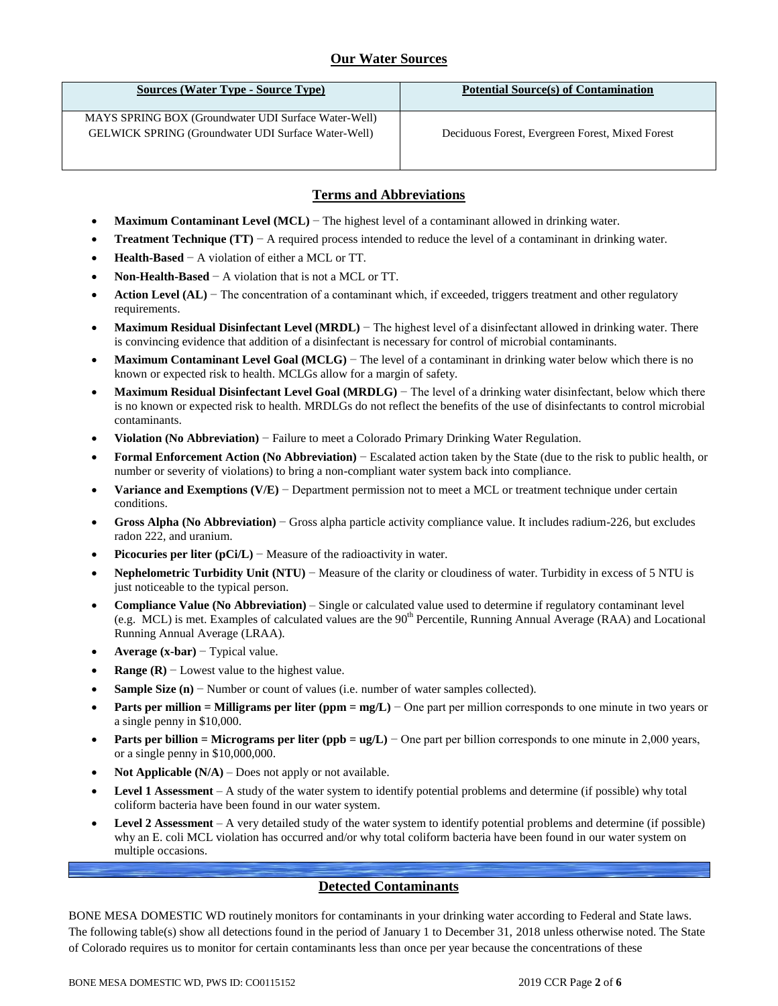# **Our Water Sources**

| <b>Sources (Water Type - Source Type)</b>                                                                          | <b>Potential Source(s) of Contamination</b>      |
|--------------------------------------------------------------------------------------------------------------------|--------------------------------------------------|
| MAYS SPRING BOX (Groundwater UDI Surface Water-Well)<br><b>GELWICK SPRING (Groundwater UDI Surface Water-Well)</b> | Deciduous Forest, Evergreen Forest, Mixed Forest |

# **Terms and Abbreviations**

- **Maximum Contaminant Level (MCL)** − The highest level of a contaminant allowed in drinking water.
- **Treatment Technique (TT)** − A required process intended to reduce the level of a contaminant in drinking water.
- **Health-Based** − A violation of either a MCL or TT.
- **Non-Health-Based** − A violation that is not a MCL or TT.
- **Action Level (AL)** − The concentration of a contaminant which, if exceeded, triggers treatment and other regulatory requirements.
- **Maximum Residual Disinfectant Level (MRDL)** − The highest level of a disinfectant allowed in drinking water. There is convincing evidence that addition of a disinfectant is necessary for control of microbial contaminants.
- **Maximum Contaminant Level Goal (MCLG)** − The level of a contaminant in drinking water below which there is no known or expected risk to health. MCLGs allow for a margin of safety.
- **Maximum Residual Disinfectant Level Goal (MRDLG)** − The level of a drinking water disinfectant, below which there is no known or expected risk to health. MRDLGs do not reflect the benefits of the use of disinfectants to control microbial contaminants.
- **Violation (No Abbreviation)** − Failure to meet a Colorado Primary Drinking Water Regulation.
- **Formal Enforcement Action (No Abbreviation)** − Escalated action taken by the State (due to the risk to public health, or number or severity of violations) to bring a non-compliant water system back into compliance.
- **Variance and Exemptions (V/E)** − Department permission not to meet a MCL or treatment technique under certain conditions.
- **Gross Alpha (No Abbreviation)** − Gross alpha particle activity compliance value. It includes radium-226, but excludes radon 222, and uranium.
- **Picocuries per liter (pCi/L)** − Measure of the radioactivity in water.
- **Nephelometric Turbidity Unit (NTU)** − Measure of the clarity or cloudiness of water. Turbidity in excess of 5 NTU is just noticeable to the typical person.
- **Compliance Value (No Abbreviation)** Single or calculated value used to determine if regulatory contaminant level (e.g. MCL) is met. Examples of calculated values are the  $90<sup>th</sup>$  Percentile, Running Annual Average (RAA) and Locational Running Annual Average (LRAA).
- **Average (x-bar)** − Typical value.
- **Range (R)** − Lowest value to the highest value.
- **Sample Size (n)** − Number or count of values (i.e. number of water samples collected).
- **Parts per million = Milligrams per liter (ppm = mg/L)** − One part per million corresponds to one minute in two years or a single penny in \$10,000.
- **Parts per billion = Micrograms per liter (ppb = ug/L)** − One part per billion corresponds to one minute in 2,000 years, or a single penny in \$10,000,000.
- **Not Applicable (N/A)** Does not apply or not available.
- **Level 1 Assessment** A study of the water system to identify potential problems and determine (if possible) why total coliform bacteria have been found in our water system.
- **Level 2 Assessment** A very detailed study of the water system to identify potential problems and determine (if possible) why an E. coli MCL violation has occurred and/or why total coliform bacteria have been found in our water system on multiple occasions.

## **Detected Contaminants**

BONE MESA DOMESTIC WD routinely monitors for contaminants in your drinking water according to Federal and State laws. The following table(s) show all detections found in the period of January 1 to December 31, 2018 unless otherwise noted. The State of Colorado requires us to monitor for certain contaminants less than once per year because the concentrations of these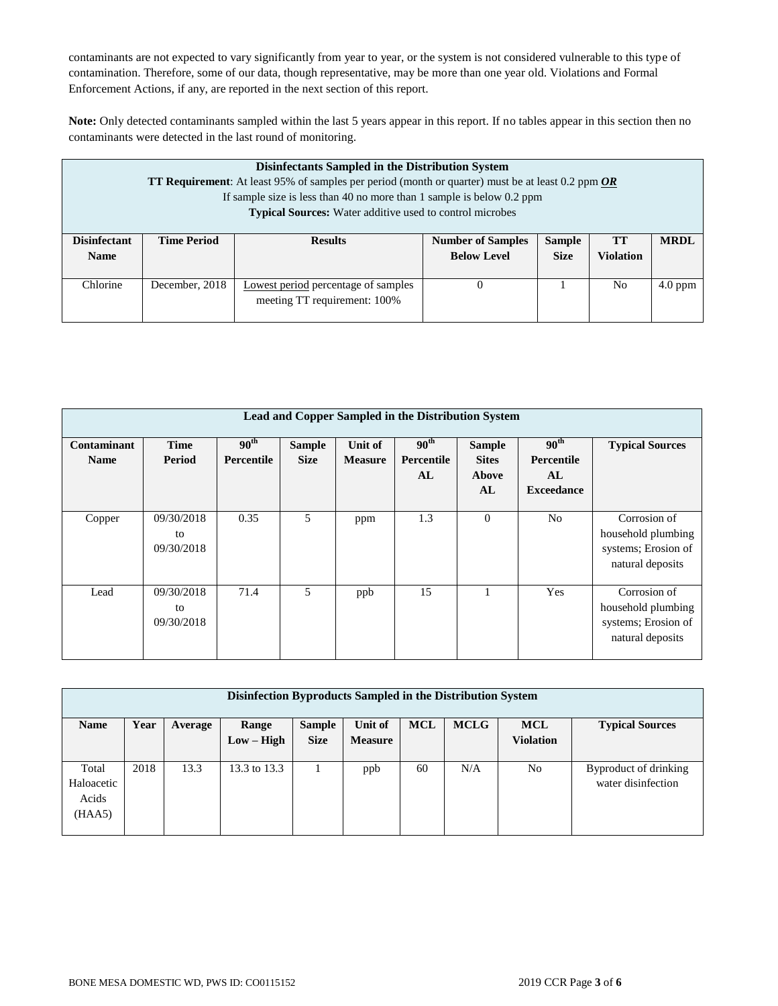contaminants are not expected to vary significantly from year to year, or the system is not considered vulnerable to this type of contamination. Therefore, some of our data, though representative, may be more than one year old. Violations and Formal Enforcement Actions, if any, are reported in the next section of this report.

**Note:** Only detected contaminants sampled within the last 5 years appear in this report. If no tables appear in this section then no contaminants were detected in the last round of monitoring.

|                     | Disinfectants Sampled in the Distribution System<br>TT Requirement: At least 95% of samples per period (month or quarter) must be at least 0.2 ppm OR<br>If sample size is less than 40 no more than 1 sample is below 0.2 ppm<br><b>Typical Sources:</b> Water additive used to control microbes |                                            |                          |               |                  |             |  |  |
|---------------------|---------------------------------------------------------------------------------------------------------------------------------------------------------------------------------------------------------------------------------------------------------------------------------------------------|--------------------------------------------|--------------------------|---------------|------------------|-------------|--|--|
| <b>Disinfectant</b> | <b>Time Period</b>                                                                                                                                                                                                                                                                                | <b>Results</b>                             | <b>Number of Samples</b> | <b>Sample</b> | TT               | <b>MRDL</b> |  |  |
| <b>Name</b>         |                                                                                                                                                                                                                                                                                                   |                                            | <b>Below Level</b>       | <b>Size</b>   | <b>Violation</b> |             |  |  |
| Chlorine            | December, 2018                                                                                                                                                                                                                                                                                    | <b>Lowest period percentage of samples</b> | $\theta$                 |               | N <sub>0</sub>   | $4.0$ ppm   |  |  |
|                     |                                                                                                                                                                                                                                                                                                   | meeting TT requirement: 100%               |                          |               |                  |             |  |  |

|                            | Lead and Copper Sampled in the Distribution System |                                |                              |                           |                                      |                                              |                                                           |                                                                               |  |  |  |  |
|----------------------------|----------------------------------------------------|--------------------------------|------------------------------|---------------------------|--------------------------------------|----------------------------------------------|-----------------------------------------------------------|-------------------------------------------------------------------------------|--|--|--|--|
| Contaminant<br><b>Name</b> | <b>Time</b><br>Period                              | 90 <sup>th</sup><br>Percentile | <b>Sample</b><br><b>Size</b> | Unit of<br><b>Measure</b> | 90 <sup>th</sup><br>Percentile<br>AL | <b>Sample</b><br><b>Sites</b><br>Above<br>AL | 90 <sup>th</sup><br>Percentile<br>AL<br><b>Exceedance</b> | <b>Typical Sources</b>                                                        |  |  |  |  |
| Copper                     | 09/30/2018<br>to<br>09/30/2018                     | 0.35                           | 5                            | ppm                       | 1.3                                  | $\mathbf{0}$                                 | N <sub>o</sub>                                            | Corrosion of<br>household plumbing<br>systems; Erosion of<br>natural deposits |  |  |  |  |
| Lead                       | 09/30/2018<br>to<br>09/30/2018                     | 71.4                           | 5                            | ppb                       | 15                                   |                                              | Yes                                                       | Corrosion of<br>household plumbing<br>systems; Erosion of<br>natural deposits |  |  |  |  |

| Disinfection Byproducts Sampled in the Distribution System |      |         |              |               |                |            |             |                  |                        |  |
|------------------------------------------------------------|------|---------|--------------|---------------|----------------|------------|-------------|------------------|------------------------|--|
| <b>Name</b>                                                | Year | Average | Range        | <b>Sample</b> | Unit of        | <b>MCL</b> | <b>MCLG</b> | <b>MCL</b>       | <b>Typical Sources</b> |  |
|                                                            |      |         | $Low - High$ | <b>Size</b>   | <b>Measure</b> |            |             | <b>Violation</b> |                        |  |
|                                                            |      |         |              |               |                |            |             |                  |                        |  |
| Total                                                      | 2018 | 13.3    | 13.3 to 13.3 |               | ppb            | 60         | N/A         | No               | Byproduct of drinking  |  |
| Haloacetic                                                 |      |         |              |               |                |            |             |                  | water disinfection     |  |
| Acids                                                      |      |         |              |               |                |            |             |                  |                        |  |
| (HAA5)                                                     |      |         |              |               |                |            |             |                  |                        |  |
|                                                            |      |         |              |               |                |            |             |                  |                        |  |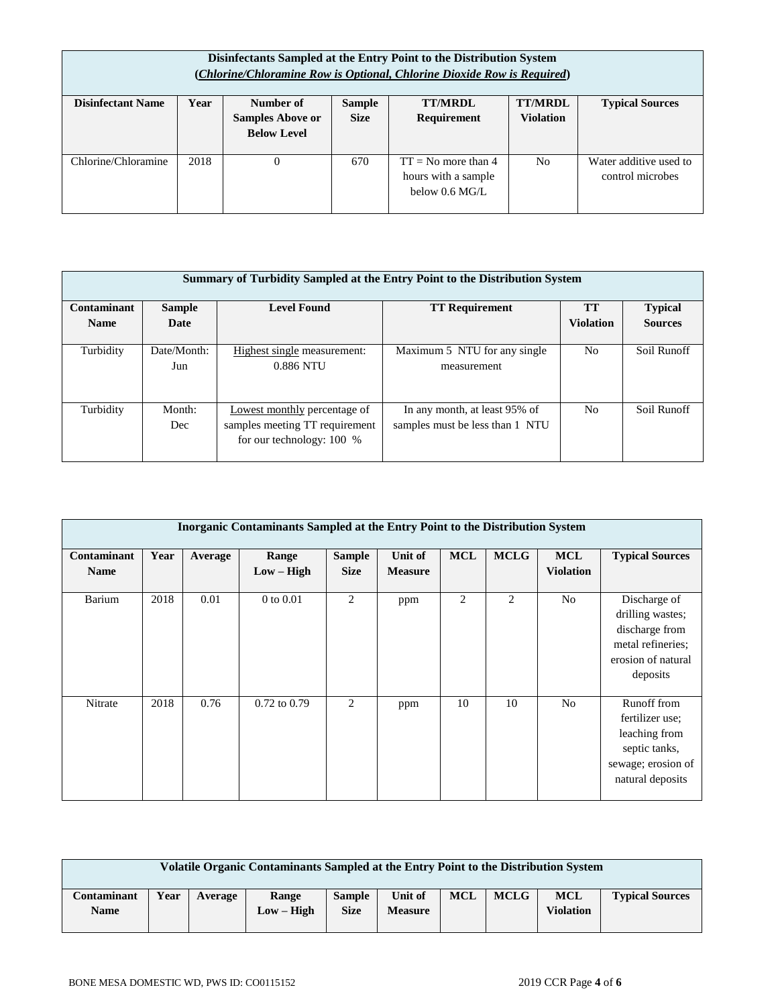|                                                                                                                                                                                                                                 | Disinfectants Sampled at the Entry Point to the Distribution System<br>(Chlorine/Chloramine Row is Optional, Chlorine Dioxide Row is Required) |  |     |                                                                          |                |                                            |  |  |  |  |
|---------------------------------------------------------------------------------------------------------------------------------------------------------------------------------------------------------------------------------|------------------------------------------------------------------------------------------------------------------------------------------------|--|-----|--------------------------------------------------------------------------|----------------|--------------------------------------------|--|--|--|--|
| <b>TT/MRDL</b><br><b>Disinfectant Name</b><br>Number of<br><b>TT/MRDL</b><br>Year<br><b>Typical Sources</b><br><b>Sample</b><br><b>Size</b><br><b>Samples Above or</b><br>Requirement<br><b>Violation</b><br><b>Below Level</b> |                                                                                                                                                |  |     |                                                                          |                |                                            |  |  |  |  |
| Chlorine/Chloramine                                                                                                                                                                                                             | 2018                                                                                                                                           |  | 670 | $TT = No$ more than 4<br>hours with a sample<br>below $0.6 \text{ MG/L}$ | N <sub>0</sub> | Water additive used to<br>control microbes |  |  |  |  |

|             | Summary of Turbidity Sampled at the Entry Point to the Distribution System |                                                                                               |                                                                  |                  |                |  |  |  |  |  |
|-------------|----------------------------------------------------------------------------|-----------------------------------------------------------------------------------------------|------------------------------------------------------------------|------------------|----------------|--|--|--|--|--|
| Contaminant | <b>Sample</b>                                                              | <b>TT</b>                                                                                     | <b>Typical</b>                                                   |                  |                |  |  |  |  |  |
| <b>Name</b> | Date                                                                       |                                                                                               |                                                                  | <b>Violation</b> | <b>Sources</b> |  |  |  |  |  |
| Turbidity   | Date/Month:<br>Jun                                                         | Highest single measurement:<br>0.886 NTU                                                      | Maximum 5 NTU for any single<br>measurement                      | N <sub>o</sub>   | Soil Runoff    |  |  |  |  |  |
| Turbidity   | Month:<br>Dec                                                              | Lowest monthly percentage of<br>samples meeting TT requirement<br>for our technology: $100\%$ | In any month, at least 95% of<br>samples must be less than 1 NTU | N <sub>0</sub>   | Soil Runoff    |  |  |  |  |  |

|                            | <b>Inorganic Contaminants Sampled at the Entry Point to the Distribution System</b> |         |                       |                              |                           |            |             |                                |                                                                                                            |  |  |
|----------------------------|-------------------------------------------------------------------------------------|---------|-----------------------|------------------------------|---------------------------|------------|-------------|--------------------------------|------------------------------------------------------------------------------------------------------------|--|--|
| Contaminant<br><b>Name</b> | Year                                                                                | Average | Range<br>$Low - High$ | <b>Sample</b><br><b>Size</b> | Unit of<br><b>Measure</b> | <b>MCL</b> | <b>MCLG</b> | <b>MCL</b><br><b>Violation</b> | <b>Typical Sources</b>                                                                                     |  |  |
| Barium                     | 2018                                                                                | 0.01    | $0$ to $0.01$         | 2                            | ppm                       | 2          | 2           | N <sub>o</sub>                 | Discharge of<br>drilling wastes;<br>discharge from<br>metal refineries;<br>erosion of natural<br>deposits  |  |  |
| Nitrate                    | 2018                                                                                | 0.76    | $0.72$ to $0.79$      | 2                            | ppm                       | 10         | 10          | N <sub>o</sub>                 | Runoff from<br>fertilizer use:<br>leaching from<br>septic tanks,<br>sewage; erosion of<br>natural deposits |  |  |

| Volatile Organic Contaminants Sampled at the Entry Point to the Distribution System |      |         |                       |                              |                           |            |             |                         |                        |
|-------------------------------------------------------------------------------------|------|---------|-----------------------|------------------------------|---------------------------|------------|-------------|-------------------------|------------------------|
| Contaminant<br>Name                                                                 | Year | Average | Range<br>$Low - High$ | <b>Sample</b><br><b>Size</b> | Unit of<br><b>Measure</b> | <b>MCL</b> | <b>MCLG</b> | MCL<br><b>Violation</b> | <b>Typical Sources</b> |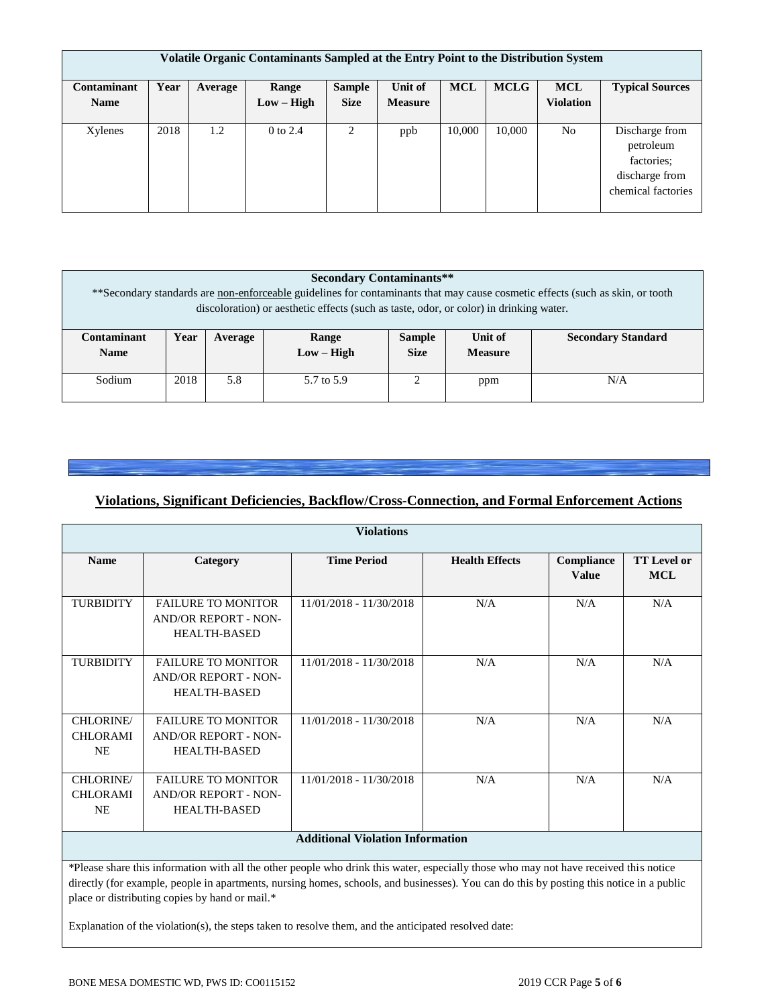| Volatile Organic Contaminants Sampled at the Entry Point to the Distribution System |      |         |              |               |                |            |             |                  |                                                                                   |
|-------------------------------------------------------------------------------------|------|---------|--------------|---------------|----------------|------------|-------------|------------------|-----------------------------------------------------------------------------------|
| Contaminant                                                                         | Year | Average | Range        | <b>Sample</b> | Unit of        | <b>MCL</b> | <b>MCLG</b> | <b>MCL</b>       | <b>Typical Sources</b>                                                            |
| <b>Name</b>                                                                         |      |         | $Low - High$ | <b>Size</b>   | <b>Measure</b> |            |             | <b>Violation</b> |                                                                                   |
|                                                                                     |      |         |              |               |                |            |             |                  |                                                                                   |
| Xylenes                                                                             | 2018 | 1.2     | $0$ to $2.4$ | 2             | ppb            | 10,000     | 10,000      | N <sub>o</sub>   | Discharge from<br>petroleum<br>factories:<br>discharge from<br>chemical factories |

| <b>Secondary Contaminants**</b><br>** Secondary standards are non-enforceable guidelines for contaminants that may cause cosmetic effects (such as skin, or tooth<br>discoloration) or aesthetic effects (such as taste, odor, or color) in drinking water. |                                                                                                                                    |  |  |  |  |  |  |  |
|-------------------------------------------------------------------------------------------------------------------------------------------------------------------------------------------------------------------------------------------------------------|------------------------------------------------------------------------------------------------------------------------------------|--|--|--|--|--|--|--|
| Contaminant<br><b>Name</b>                                                                                                                                                                                                                                  | <b>Secondary Standard</b><br>Unit of<br>Year<br><b>Sample</b><br>Range<br>Average<br>$Low - High$<br><b>Size</b><br><b>Measure</b> |  |  |  |  |  |  |  |
| Sodium                                                                                                                                                                                                                                                      | 2018<br>5.8<br>5.7 to 5.9<br>$\bigcap$<br>N/A<br>ppm                                                                               |  |  |  |  |  |  |  |

# **Violations, Significant Deficiencies, Backflow/Cross-Connection, and Formal Enforcement Actions**

|                                           |                                                                                                                                       | <b>Violations</b>       |                       |                            |                                  |  |  |  |  |
|-------------------------------------------|---------------------------------------------------------------------------------------------------------------------------------------|-------------------------|-----------------------|----------------------------|----------------------------------|--|--|--|--|
| <b>Name</b>                               | Category                                                                                                                              | <b>Time Period</b>      | <b>Health Effects</b> | Compliance<br><b>Value</b> | <b>TT</b> Level or<br><b>MCL</b> |  |  |  |  |
| <b>TURBIDITY</b>                          | <b>FAILURE TO MONITOR</b><br><b>AND/OR REPORT - NON-</b><br><b>HEALTH-BASED</b>                                                       | 11/01/2018 - 11/30/2018 | N/A                   | N/A                        | N/A                              |  |  |  |  |
| <b>TURBIDITY</b>                          | <b>FAILURE TO MONITOR</b><br><b>AND/OR REPORT - NON-</b><br><b>HEALTH-BASED</b>                                                       | 11/01/2018 - 11/30/2018 | N/A                   | N/A                        | N/A                              |  |  |  |  |
| CHLORINE/<br><b>CHLORAMI</b><br><b>NE</b> | <b>FAILURE TO MONITOR</b><br><b>AND/OR REPORT - NON-</b><br><b>HEALTH-BASED</b>                                                       | 11/01/2018 - 11/30/2018 | N/A                   | N/A                        | N/A                              |  |  |  |  |
| CHLORINE/<br><b>CHLORAMI</b><br><b>NE</b> | <b>FAILURE TO MONITOR</b><br><b>AND/OR REPORT - NON-</b><br><b>HEALTH-BASED</b>                                                       | 11/01/2018 - 11/30/2018 | N/A                   | N/A                        | N/A                              |  |  |  |  |
|                                           | <b>Additional Violation Information</b>                                                                                               |                         |                       |                            |                                  |  |  |  |  |
|                                           | *Please share this information with all the other people who drink this water, especially those who may not have received this notice |                         |                       |                            |                                  |  |  |  |  |

directly (for example, people in apartments, nursing homes, schools, and businesses). You can do this by posting this notice in a public place or distributing copies by hand or mail.\*

Explanation of the violation(s), the steps taken to resolve them, and the anticipated resolved date: